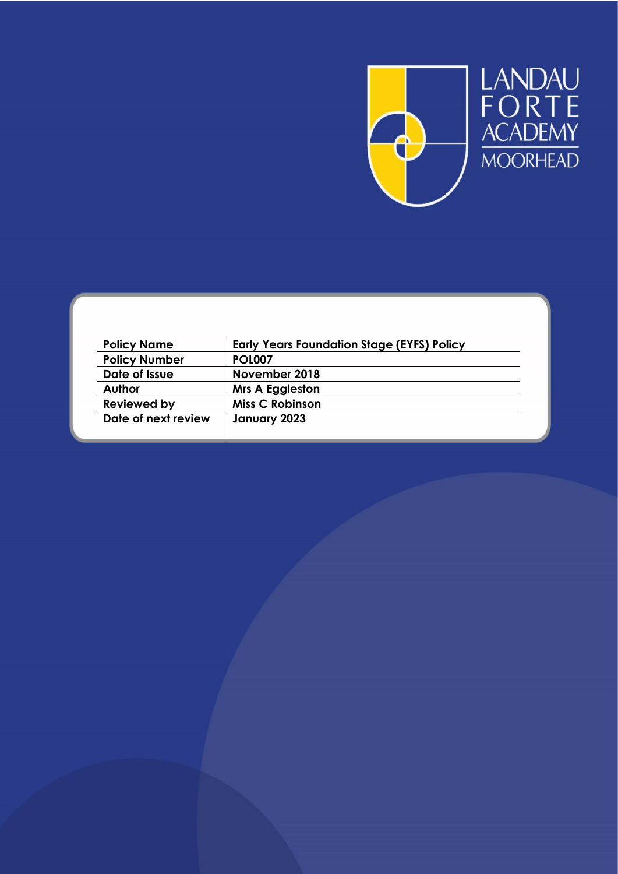



| <b>Policy Name</b>   | <b>Early Years Foundation Stage (EYFS) Policy</b> |
|----------------------|---------------------------------------------------|
| <b>Policy Number</b> | <b>POL007</b>                                     |
| Date of Issue        | November 2018                                     |
| Author               | <b>Mrs A Eggleston</b>                            |
| <b>Reviewed by</b>   | <b>Miss C Robinson</b>                            |
| Date of next review  | January 2023                                      |
|                      |                                                   |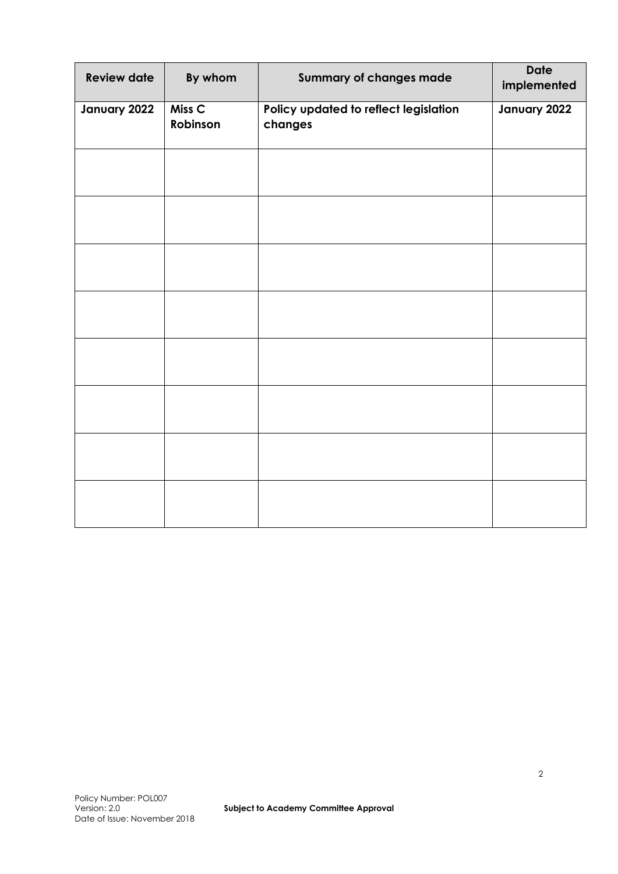| <b>Review date</b> | By whom                       | <b>Summary of changes made</b>                   | <b>Date</b><br>implemented |
|--------------------|-------------------------------|--------------------------------------------------|----------------------------|
| January 2022       | Miss <sub>C</sub><br>Robinson | Policy updated to reflect legislation<br>changes | January 2022               |
|                    |                               |                                                  |                            |
|                    |                               |                                                  |                            |
|                    |                               |                                                  |                            |
|                    |                               |                                                  |                            |
|                    |                               |                                                  |                            |
|                    |                               |                                                  |                            |
|                    |                               |                                                  |                            |
|                    |                               |                                                  |                            |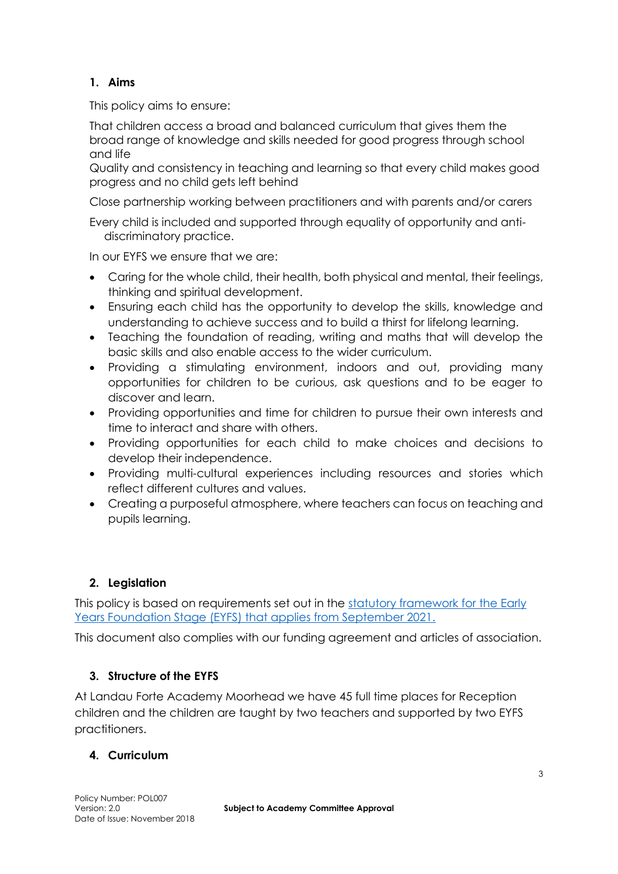# **1. Aims**

This policy aims to ensure:

That children access a broad and balanced curriculum that gives them the broad range of knowledge and skills needed for good progress through school and life

Quality and consistency in teaching and learning so that every child makes good progress and no child gets left behind

Close partnership working between practitioners and with parents and/or carers

Every child is included and supported through equality of opportunity and antidiscriminatory practice.

In our EYFS we ensure that we are:

- Caring for the whole child, their health, both physical and mental, their feelings, thinking and spiritual development.
- Ensuring each child has the opportunity to develop the skills, knowledge and understanding to achieve success and to build a thirst for lifelong learning.
- Teaching the foundation of reading, writing and maths that will develop the basic skills and also enable access to the wider curriculum.
- Providing a stimulating environment, indoors and out, providing many opportunities for children to be curious, ask questions and to be eager to discover and learn.
- Providing opportunities and time for children to pursue their own interests and time to interact and share with others.
- Providing opportunities for each child to make choices and decisions to develop their independence.
- Providing multi-cultural experiences including resources and stories which reflect different cultures and values.
- Creating a purposeful atmosphere, where teachers can focus on teaching and pupils learning.

### **2. Legislation**

This policy is based on requirements set out in the [statutory framework for the Early](https://assets.publishing.service.gov.uk/government/uploads/system/uploads/attachment_data/file/974907/EYFS_framework_-_March_2021.pdf)  [Years Foundation Stage \(EYFS\) that applies from September 2021.](https://assets.publishing.service.gov.uk/government/uploads/system/uploads/attachment_data/file/974907/EYFS_framework_-_March_2021.pdf)

This document also complies with our funding agreement and articles of association.

### **3. Structure of the EYFS**

At Landau Forte Academy Moorhead we have 45 full time places for Reception children and the children are taught by two teachers and supported by two EYFS practitioners.

#### **4. Curriculum**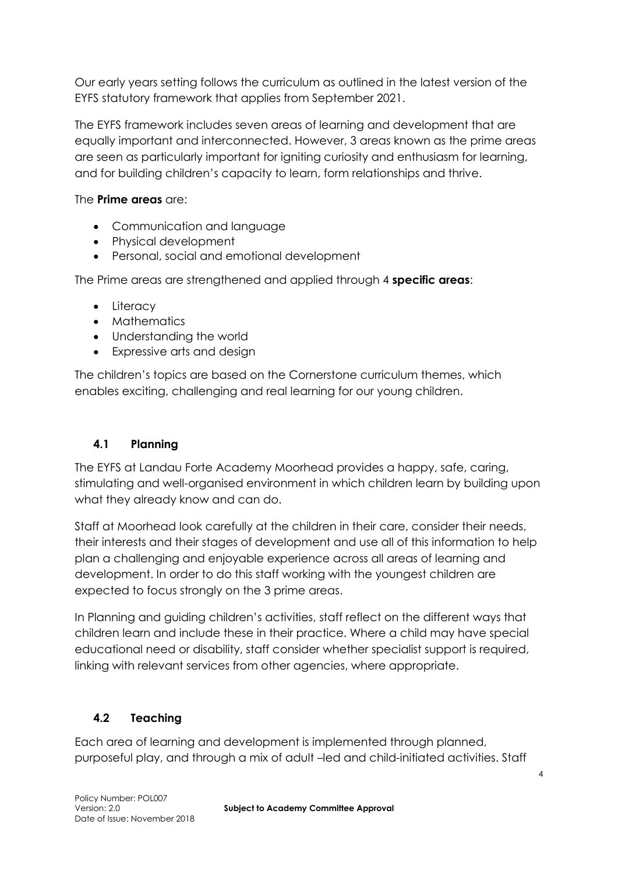Our early years setting follows the curriculum as outlined in the latest version of the EYFS statutory framework that applies from September 2021.

The EYFS framework includes seven areas of learning and development that are equally important and interconnected. However, 3 areas known as the prime areas are seen as particularly important for igniting curiosity and enthusiasm for learning, and for building children's capacity to learn, form relationships and thrive.

The **Prime areas** are:

- Communication and language
- Physical development
- Personal, social and emotional development

The Prime areas are strengthened and applied through 4 **specific areas**:

- Literacy
- Mathematics
- Understanding the world
- Expressive arts and design

The children's topics are based on the Cornerstone curriculum themes, which enables exciting, challenging and real learning for our young children.

## **4.1 Planning**

The EYFS at Landau Forte Academy Moorhead provides a happy, safe, caring, stimulating and well-organised environment in which children learn by building upon what they already know and can do.

Staff at Moorhead look carefully at the children in their care, consider their needs, their interests and their stages of development and use all of this information to help plan a challenging and enjoyable experience across all areas of learning and development. In order to do this staff working with the youngest children are expected to focus strongly on the 3 prime areas.

In Planning and guiding children's activities, staff reflect on the different ways that children learn and include these in their practice. Where a child may have special educational need or disability, staff consider whether specialist support is required, linking with relevant services from other agencies, where appropriate.

# **4.2 Teaching**

Each area of learning and development is implemented through planned, purposeful play, and through a mix of adult –led and child-initiated activities. Staff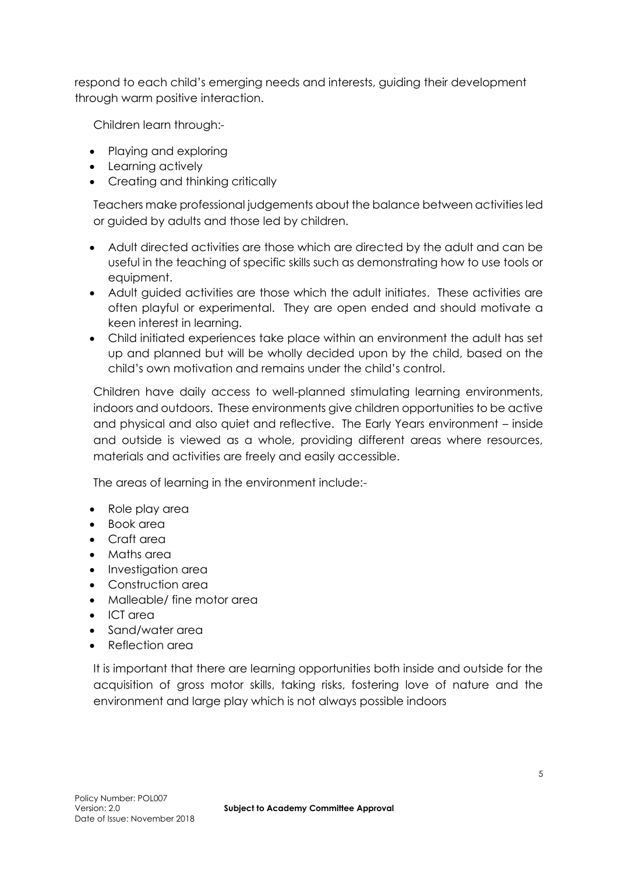respond to each child's emerging needs and interests, guiding their development through warm positive interaction.

Children learn through:-

- Playing and exploring
- Learning actively
- Creating and thinking critically

Teachers make professional judgements about the balance between activities led or guided by adults and those led by children.

- Adult directed activities are those which are directed by the adult and can be useful in the teaching of specific skills such as demonstrating how to use tools or equipment.
- Adult guided activities are those which the adult initiates. These activities are often playful or experimental. They are open ended and should motivate a keen interest in learning.
- Child initiated experiences take place within an environment the adult has set up and planned but will be wholly decided upon by the child, based on the child's own motivation and remains under the child's control.

Children have daily access to well-planned stimulating learning environments, indoors and outdoors. These environments give children opportunities to be active and physical and also quiet and reflective. The Early Years environment – inside and outside is viewed as a whole, providing different areas where resources, materials and activities are freely and easily accessible.

The areas of learning in the environment include:-

- Role play area
- Book area
- Craft area
- Maths area
- Investigation area
- Construction area
- Malleable/ fine motor area
- ICT area
- Sand/water area
- Reflection area

It is important that there are learning opportunities both inside and outside for the acquisition of gross motor skills, taking risks, fostering love of nature and the environment and large play which is not always possible indoors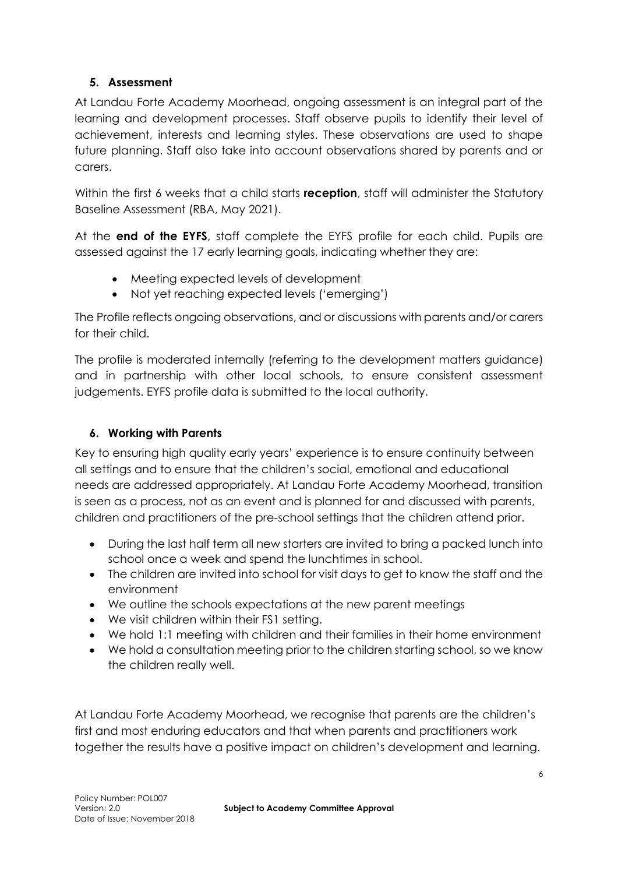## **5. Assessment**

At Landau Forte Academy Moorhead, ongoing assessment is an integral part of the learning and development processes. Staff observe pupils to identify their level of achievement, interests and learning styles. These observations are used to shape future planning. Staff also take into account observations shared by parents and or carers.

Within the first 6 weeks that a child starts **reception**, staff will administer the Statutory Baseline Assessment (RBA, May 2021).

At the **end of the EYFS**, staff complete the EYFS profile for each child. Pupils are assessed against the 17 early learning goals, indicating whether they are:

- Meeting expected levels of development
- Not yet reaching expected levels ('emerging')

The Profile reflects ongoing observations, and or discussions with parents and/or carers for their child.

The profile is moderated internally (referring to the development matters guidance) and in partnership with other local schools, to ensure consistent assessment judgements. EYFS profile data is submitted to the local authority.

### **6. Working with Parents**

Key to ensuring high quality early years' experience is to ensure continuity between all settings and to ensure that the children's social, emotional and educational needs are addressed appropriately. At Landau Forte Academy Moorhead, transition is seen as a process, not as an event and is planned for and discussed with parents, children and practitioners of the pre-school settings that the children attend prior.

- During the last half term all new starters are invited to bring a packed lunch into school once a week and spend the lunchtimes in school.
- The children are invited into school for visit days to get to know the staff and the environment
- We outline the schools expectations at the new parent meetings
- We visit children within their FS1 setting.
- We hold 1:1 meeting with children and their families in their home environment
- We hold a consultation meeting prior to the children starting school, so we know the children really well.

At Landau Forte Academy Moorhead, we recognise that parents are the children's first and most enduring educators and that when parents and practitioners work together the results have a positive impact on children's development and learning.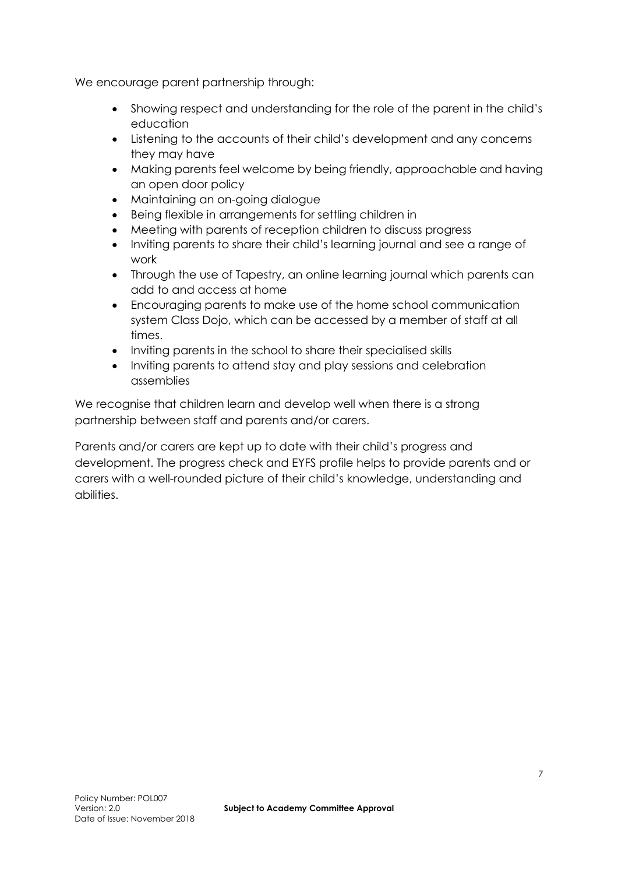We encourage parent partnership through:

- Showing respect and understanding for the role of the parent in the child's education
- Listening to the accounts of their child's development and any concerns they may have
- Making parents feel welcome by being friendly, approachable and having an open door policy
- Maintaining an on-going dialogue
- Being flexible in arrangements for settling children in
- Meeting with parents of reception children to discuss progress
- Inviting parents to share their child's learning journal and see a range of work
- Through the use of Tapestry, an online learning journal which parents can add to and access at home
- Encouraging parents to make use of the home school communication system Class Dojo, which can be accessed by a member of staff at all times.
- Inviting parents in the school to share their specialised skills
- Inviting parents to attend stay and play sessions and celebration assemblies

We recognise that children learn and develop well when there is a strong partnership between staff and parents and/or carers.

Parents and/or carers are kept up to date with their child's progress and development. The progress check and EYFS profile helps to provide parents and or carers with a well-rounded picture of their child's knowledge, understanding and abilities.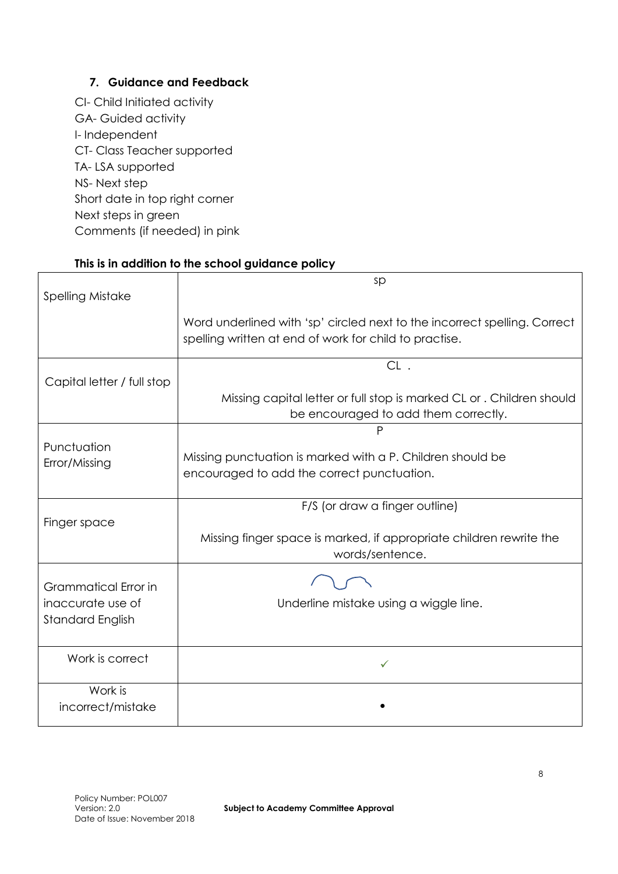### **7. Guidance and Feedback**

CI- Child Initiated activity GA- Guided activity I- Independent CT- Class Teacher supported TA- LSA supported NS- Next step Short date in top right corner Next steps in green Comments (if needed) in pink

#### **This is in addition to the school guidance policy**

| <b>Spelling Mistake</b>      | sp                                                                                                                                  |
|------------------------------|-------------------------------------------------------------------------------------------------------------------------------------|
|                              | Word underlined with 'sp' circled next to the incorrect spelling. Correct<br>spelling written at end of work for child to practise. |
| Capital letter / full stop   | $CL$ .                                                                                                                              |
|                              | Missing capital letter or full stop is marked CL or . Children should<br>be encouraged to add them correctly.                       |
|                              | P                                                                                                                                   |
| Punctuation<br>Error/Missing | Missing punctuation is marked with a P. Children should be<br>encouraged to add the correct punctuation.                            |
|                              | F/S (or draw a finger outline)                                                                                                      |
| Finger space                 | Missing finger space is marked, if appropriate children rewrite the<br>words/sentence.                                              |
| Grammatical Error in         |                                                                                                                                     |
| inaccurate use of            | Underline mistake using a wiggle line.                                                                                              |
| <b>Standard English</b>      |                                                                                                                                     |
| Work is correct              | ✓                                                                                                                                   |
| Work is<br>incorrect/mistake |                                                                                                                                     |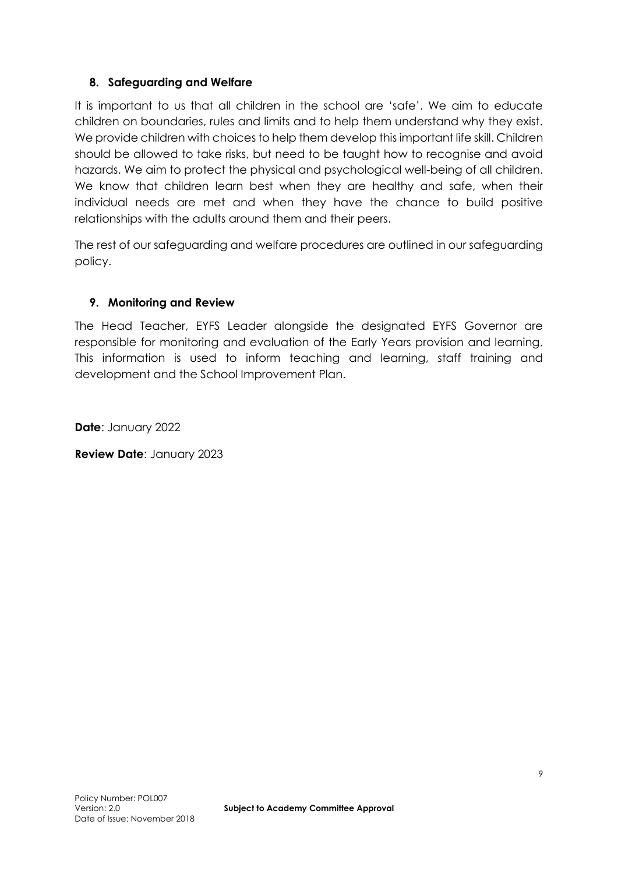#### **8. Safeguarding and Welfare**

It is important to us that all children in the school are 'safe'. We aim to educate children on boundaries, rules and limits and to help them understand why they exist. We provide children with choices to help them develop this important life skill. Children should be allowed to take risks, but need to be taught how to recognise and avoid hazards. We aim to protect the physical and psychological well-being of all children. We know that children learn best when they are healthy and safe, when their individual needs are met and when they have the chance to build positive relationships with the adults around them and their peers.

The rest of our safeguarding and welfare procedures are outlined in our safeguarding policy.

#### **9. Monitoring and Review**

The Head Teacher, EYFS Leader alongside the designated EYFS Governor are responsible for monitoring and evaluation of the Early Years provision and learning. This information is used to inform teaching and learning, staff training and development and the School Improvement Plan.

**Date**: January 2022

**Review Date**: January 2023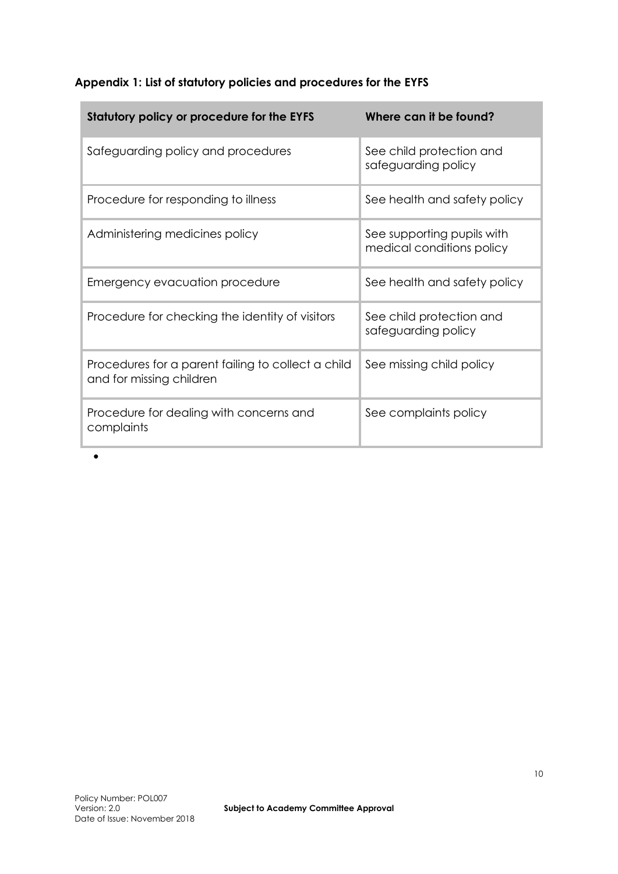### **Appendix 1: List of statutory policies and procedures for the EYFS**

| Statutory policy or procedure for the EYFS                                     | Where can it be found?                                  |
|--------------------------------------------------------------------------------|---------------------------------------------------------|
| Safeguarding policy and procedures                                             | See child protection and<br>safeguarding policy         |
| Procedure for responding to illness                                            | See health and safety policy                            |
| Administering medicines policy                                                 | See supporting pupils with<br>medical conditions policy |
| Emergency evacuation procedure                                                 | See health and safety policy                            |
| Procedure for checking the identity of visitors                                | See child protection and<br>safeguarding policy         |
| Procedures for a parent failing to collect a child<br>and for missing children | See missing child policy                                |
| Procedure for dealing with concerns and<br>complaints                          | See complaints policy                                   |

 $\bullet$